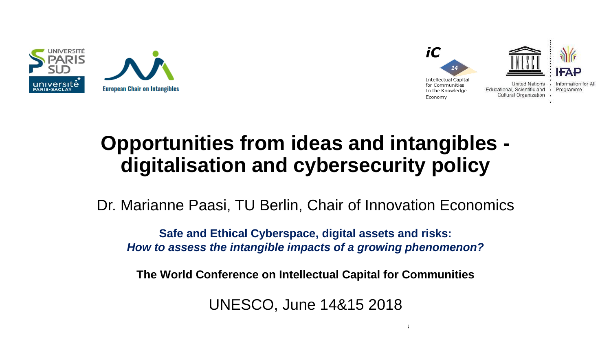



## **Opportunities from ideas and intangibles digitalisation and cybersecurity policy**

Dr. Marianne Paasi, TU Berlin, Chair of Innovation Economics

**Safe and Ethical Cyberspace, digital assets and risks:**  *How to assess the intangible impacts of a growing phenomenon?*

**The World Conference on Intellectual Capital for Communities**

UNESCO, June 14&15 2018

 $14\pm 15$ th June 2018 The World Conference on Intellectual Capital for Communities on Intellectual for Communities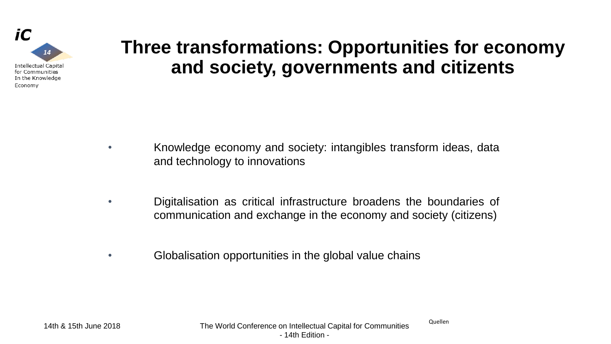

#### **Three transformations: Opportunities for economy and society, governments and citizents**

- Knowledge economy and society: intangibles transform ideas, data and technology to innovations
- Digitalisation as critical infrastructure broadens the boundaries of communication and exchange in the economy and society (citizens)
- Globalisation opportunities in the global value chains

Quellen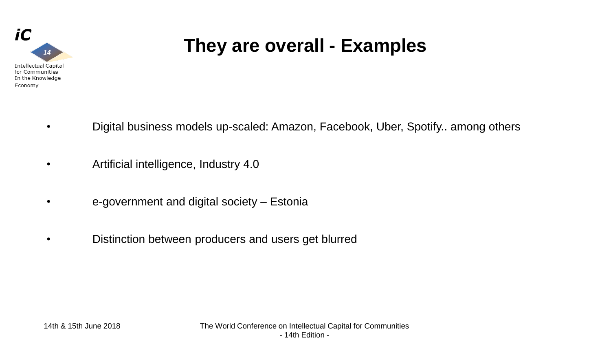

## **They are overall - Examples**

- Digital business models up-scaled: Amazon, Facebook, Uber, Spotify.. among others
- Artificial intelligence, Industry 4.0
- e-government and digital society Estonia
- Distinction between producers and users get blurred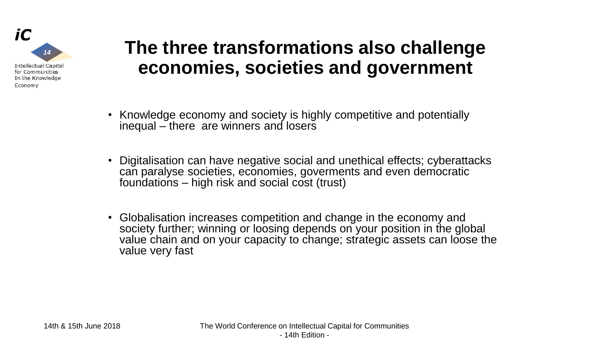

#### **The three transformations also challenge economies, societies and government**

- Knowledge economy and society is highly competitive and potentially inequal – there are winners and losers
- Digitalisation can have negative social and unethical effects; cyberattacks can paralyse societies, economies, goverments and even democratic foundations – high risk and social cost (trust)
- Globalisation increases competition and change in the economy and society further; winning or loosing depends on your position in the global value chain and on your capacity to change; strategic assets can loose the value very fast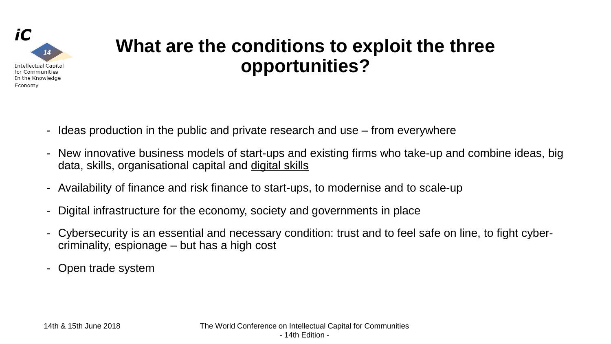

#### **What are the conditions to exploit the three opportunities?**

- Ideas production in the public and private research and use from everywhere
- New innovative business models of start-ups and existing firms who take-up and combine ideas, big data, skills, organisational capital and digital skills
- Availability of finance and risk finance to start-ups, to modernise and to scale-up
- Digital infrastructure for the economy, society and governments in place
- Cybersecurity is an essential and necessary condition: trust and to feel safe on line, to fight cybercriminality, espionage – but has a high cost
- Open trade system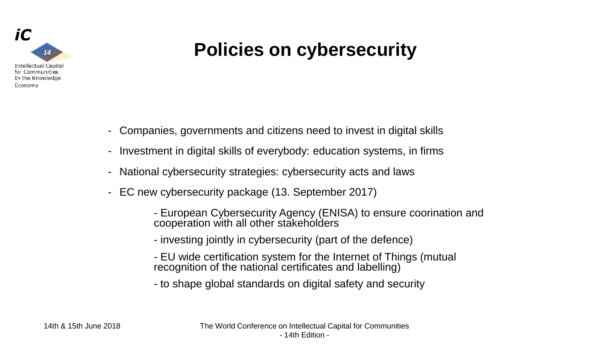

## **Policies on cybersecurity**

- Companies, governments and citizens need to invest in digital skills
- Investment in digital skills of everybody: education systems, in firms
- National cybersecurity strategies: cybersecurity acts and laws
- EC new cybersecurity package (13. September 2017)
	- European Cybersecurity Agency (ENISA) to ensure coorination and cooperation with all other stakeholders
	- investing jointly in cybersecurity (part of the defence)
	- EU wide certification system for the Internet of Things (mutual recognition of the national certificates and labelling)
	- to shape global standards on digital safety and security